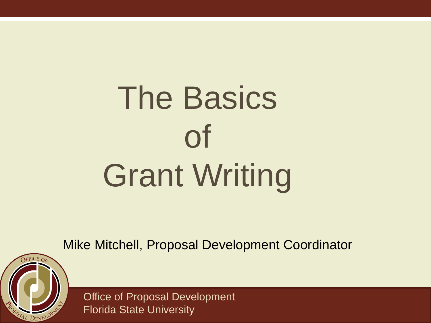# The Basics of Grant Writing

Mike Mitchell, Proposal Development Coordinator

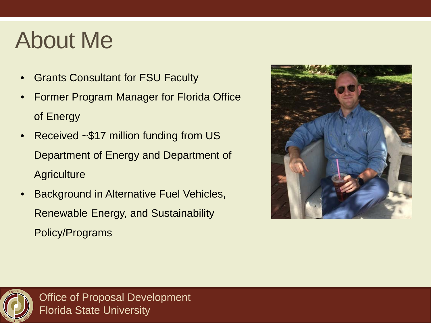### About Me

- Grants Consultant for FSU Faculty
- Former Program Manager for Florida Office of Energy
- Received ~\$17 million funding from US Department of Energy and Department of **Agriculture**
- Background in Alternative Fuel Vehicles, Renewable Energy, and Sustainability Policy/Programs



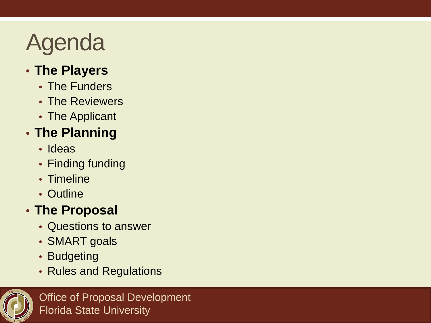## Agenda

#### • **The Players**

- The Funders
- The Reviewers
- The Applicant

#### • **The Planning**

- Ideas
- Finding funding
- Timeline
- Outline

#### • **The Proposal**

- Questions to answer
- SMART goals
- Budgeting
- Rules and Regulations

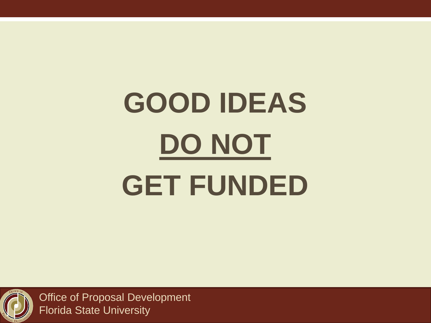# **GOOD IDEAS DO NOT GET FUNDED**

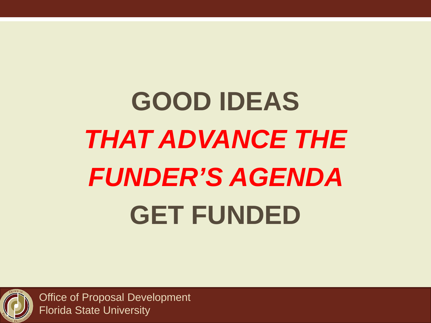## **GOOD IDEAS**  *THAT ADVANCE THE FUNDER'S AGENDA*  **GET FUNDED**

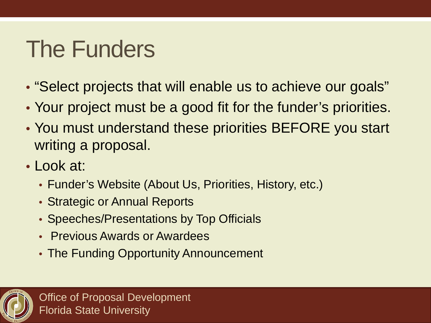### The Funders

- "Select projects that will enable us to achieve our goals"
- Your project must be a good fit for the funder's priorities.
- You must understand these priorities BEFORE you start writing a proposal.
- Look at:
	- Funder's Website (About Us, Priorities, History, etc.)
	- Strategic or Annual Reports
	- Speeches/Presentations by Top Officials
	- Previous Awards or Awardees
	- The Funding Opportunity Announcement

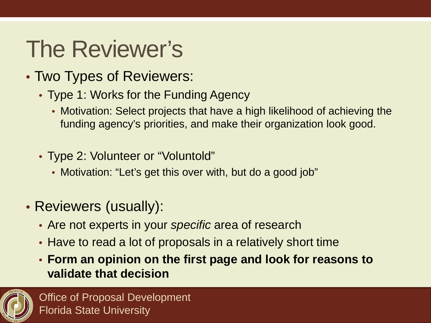## The Reviewer's

- Two Types of Reviewers:
	- Type 1: Works for the Funding Agency
		- Motivation: Select projects that have a high likelihood of achieving the funding agency's priorities, and make their organization look good.
	- Type 2: Volunteer or "Voluntold"
		- Motivation: "Let's get this over with, but do a good job"
- Reviewers (usually):
	- Are not experts in your *specific* area of research
	- Have to read a lot of proposals in a relatively short time
	- **Form an opinion on the first page and look for reasons to validate that decision**

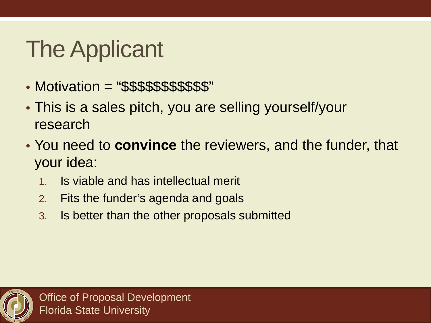## The Applicant

- Motivation = "\$\$\$\$\$\$\$\$\$\$\$"
- This is a sales pitch, you are selling yourself/your research
- You need to **convince** the reviewers, and the funder, that your idea:
	- 1. Is viable and has intellectual merit
	- 2. Fits the funder's agenda and goals
	- 3. Is better than the other proposals submitted

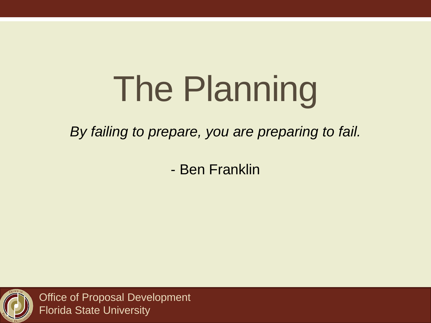# The Planning

*By failing to prepare, you are preparing to fail.*

- Ben Franklin

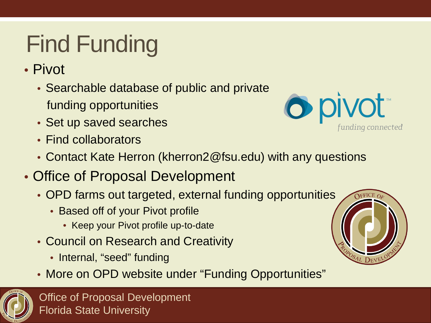## Find Funding

- Pivot
	- Searchable database of public and private funding opportunities
	- Set up saved searches
	- Find collaborators



- Contact Kate Herron (kherron2@fsu.edu) with any questions
- Office of Proposal Development
	- OPD farms out targeted, external funding opportunities
		- Based off of your Pivot profile
			- Keep your Pivot profile up-to-date
	- Council on Research and Creativity
		- Internal, "seed" funding
	- More on OPD website under "Funding Opportunities"



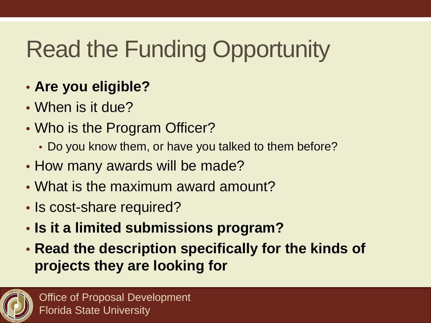## Read the Funding Opportunity

### • **Are you eligible?**

- When is it due?
- Who is the Program Officer?
	- Do you know them, or have you talked to them before?
- How many awards will be made?
- What is the maximum award amount?
- Is cost-share required?
- **Is it a limited submissions program?**
- **Read the description specifically for the kinds of projects they are looking for**

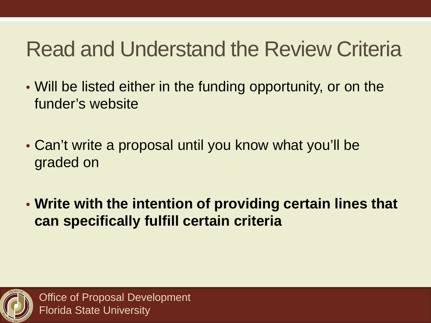### Read and Understand the Review Criteria

- Will be listed either in the funding opportunity, or on the funder's website
- Can't write a proposal until you know what you'll be graded on
- **Write with the intention of providing certain lines that can specifically fulfill certain criteria**

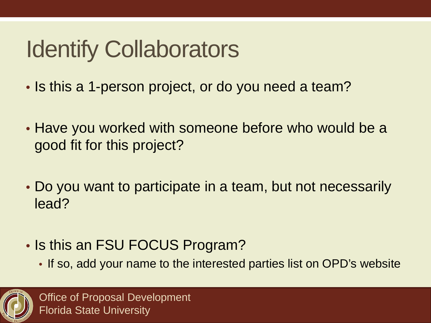## Identify Collaborators

- Is this a 1-person project, or do you need a team?
- Have you worked with someone before who would be a good fit for this project?
- Do you want to participate in a team, but not necessarily lead?
- Is this an FSU FOCUS Program?
	- If so, add your name to the interested parties list on OPD's website

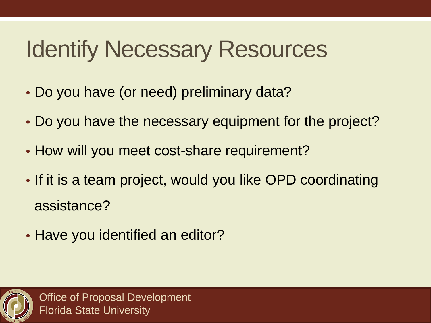## Identify Necessary Resources

- Do you have (or need) preliminary data?
- Do you have the necessary equipment for the project?
- How will you meet cost-share requirement?
- If it is a team project, would you like OPD coordinating assistance?
- Have you identified an editor?

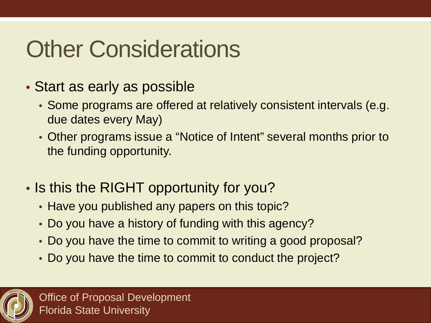## Other Considerations

- Start as early as possible
	- Some programs are offered at relatively consistent intervals (e.g. due dates every May)
	- Other programs issue a "Notice of Intent" several months prior to the funding opportunity.
- Is this the RIGHT opportunity for you?
	- Have you published any papers on this topic?
	- Do you have a history of funding with this agency?
	- Do you have the time to commit to writing a good proposal?
	- Do you have the time to commit to conduct the project?

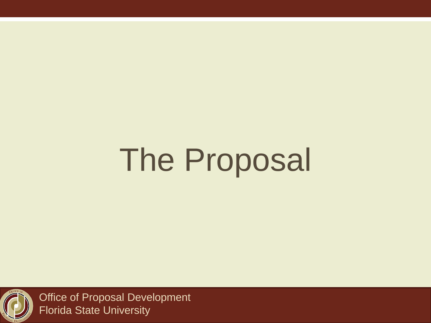# The Proposal

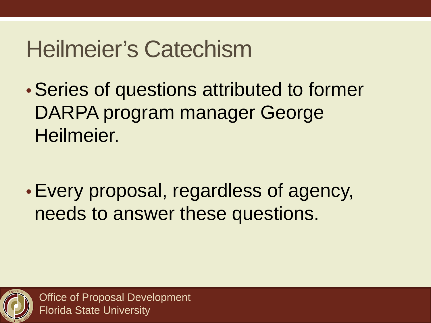### Heilmeier's Catechism

•Series of questions attributed to former DARPA program manager George Heilmeier.

•Every proposal, regardless of agency, needs to answer these questions.

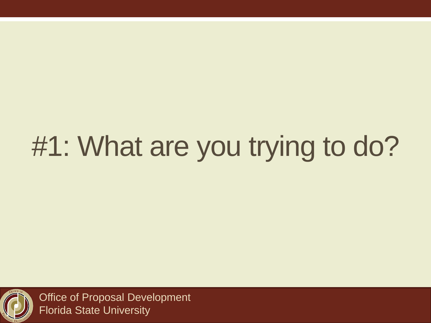## #1: What are you trying to do?

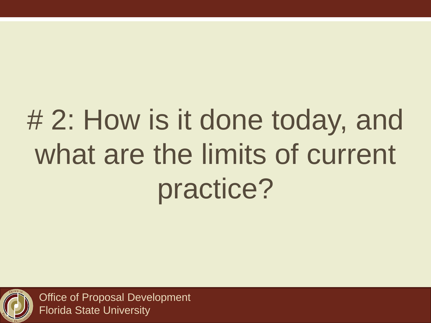## # 2: How is it done today, and what are the limits of current practice?

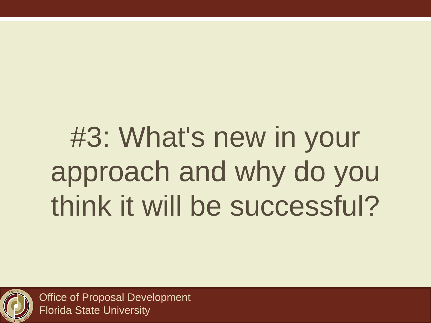## #3: What's new in your approach and why do you think it will be successful?

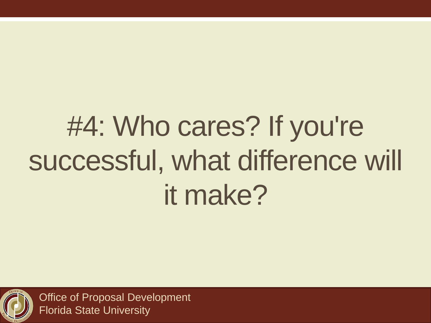## #4: Who cares? If you're successful, what difference will it make?

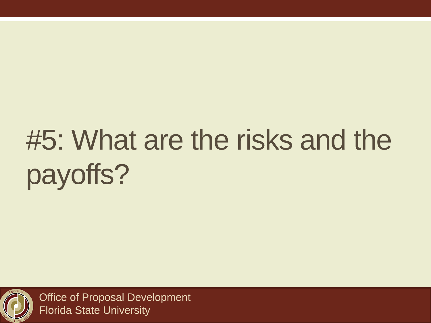## #5: What are the risks and the payoffs?

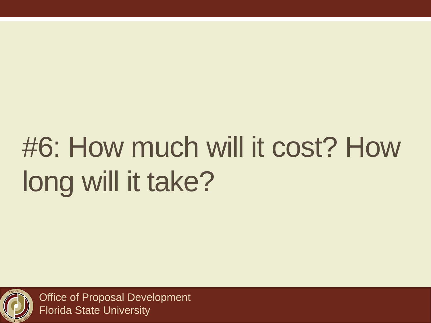## #6: How much will it cost? How long will it take?

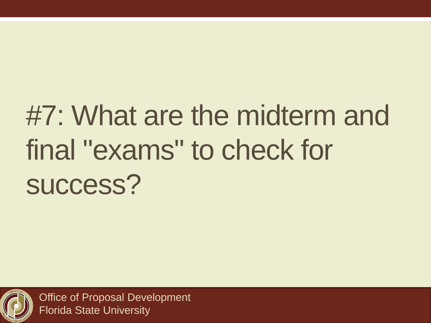## #7: What are the midterm and final "exams" to check for success?

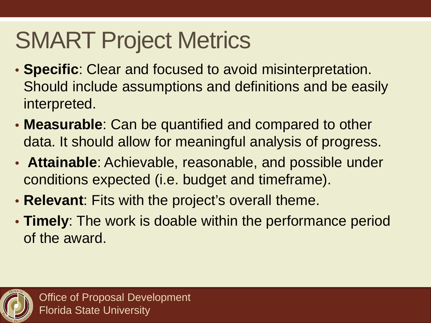## SMART Project Metrics

- **Specific**: Clear and focused to avoid misinterpretation. Should include assumptions and definitions and be easily interpreted.
- **Measurable**: Can be quantified and compared to other data. It should allow for meaningful analysis of progress.
- **Attainable**: Achievable, reasonable, and possible under conditions expected (i.e. budget and timeframe).
- **Relevant**: Fits with the project's overall theme.
- **Timely**: The work is doable within the performance period of the award.

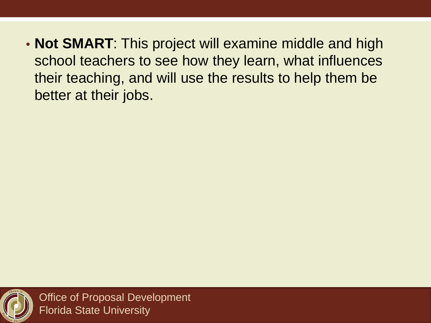• **Not SMART**: This project will examine middle and high school teachers to see how they learn, what influences their teaching, and will use the results to help them be better at their jobs.

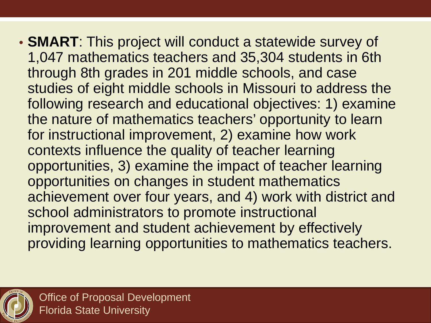• **SMART**: This project will conduct a statewide survey of 1,047 mathematics teachers and 35,304 students in 6th through 8th grades in 201 middle schools, and case studies of eight middle schools in Missouri to address the following research and educational objectives: 1) examine the nature of mathematics teachers' opportunity to learn for instructional improvement, 2) examine how work contexts influence the quality of teacher learning opportunities, 3) examine the impact of teacher learning opportunities on changes in student mathematics achievement over four years, and 4) work with district and school administrators to promote instructional improvement and student achievement by effectively providing learning opportunities to mathematics teachers.

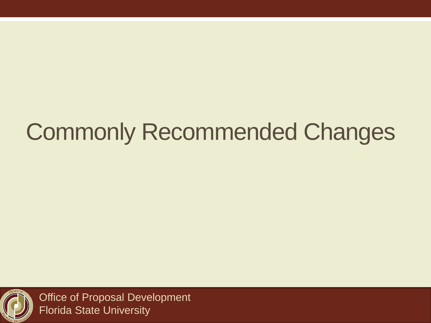## Commonly Recommended Changes

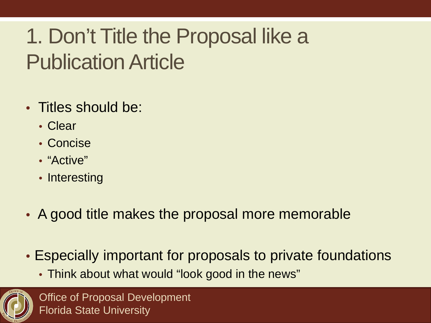### 1. Don't Title the Proposal like a Publication Article

- Titles should be:
	- Clear
	- Concise
	- "Active"
	- Interesting
- A good title makes the proposal more memorable
- Especially important for proposals to private foundations
	- Think about what would "look good in the news"

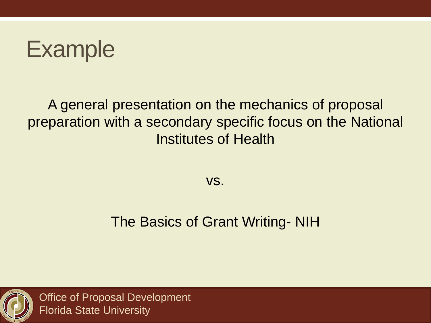

#### A general presentation on the mechanics of proposal preparation with a secondary specific focus on the National Institutes of Health

vs.

#### The Basics of Grant Writing- NIH

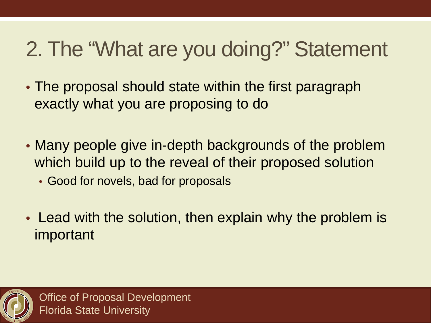### 2. The "What are you doing?" Statement

- The proposal should state within the first paragraph exactly what you are proposing to do
- Many people give in-depth backgrounds of the problem which build up to the reveal of their proposed solution
	- Good for novels, bad for proposals
- Lead with the solution, then explain why the problem is important

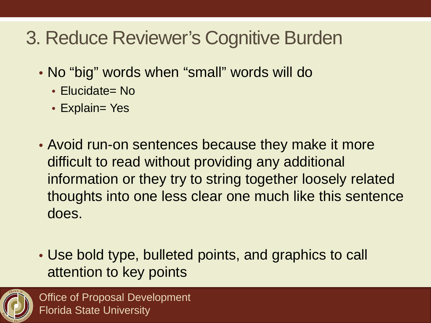### 3. Reduce Reviewer's Cognitive Burden

- No "big" words when "small" words will do
	- Elucidate= No
	- Explain= Yes
- Avoid run-on sentences because they make it more difficult to read without providing any additional information or they try to string together loosely related thoughts into one less clear one much like this sentence does.
- Use bold type, bulleted points, and graphics to call attention to key points

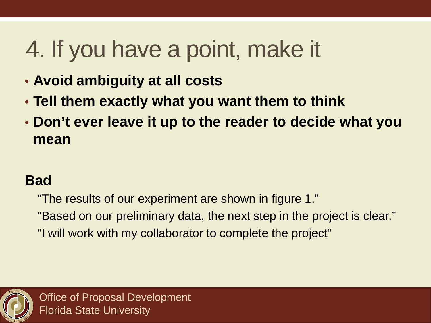## 4. If you have a point, make it

- **Avoid ambiguity at all costs**
- **Tell them exactly what you want them to think**
- **Don't ever leave it up to the reader to decide what you mean**

#### **Bad**

"The results of our experiment are shown in figure 1." "Based on our preliminary data, the next step in the project is clear." "I will work with my collaborator to complete the project"

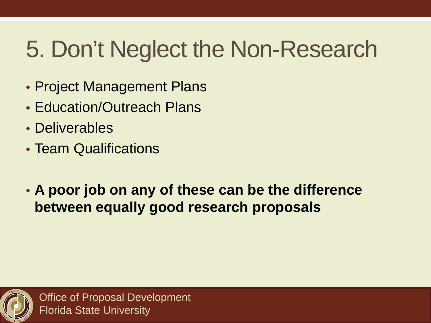## 5. Don't Neglect the Non-Research

- Project Management Plans
- Education/Outreach Plans
- Deliverables
- Team Qualifications
- **A poor job on any of these can be the difference between equally good research proposals**

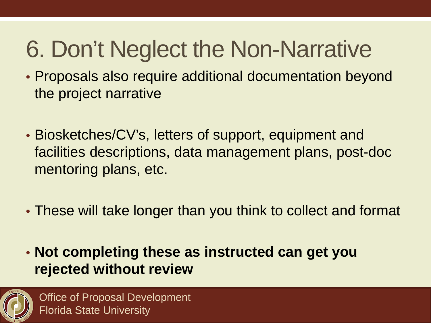## 6. Don't Neglect the Non-Narrative

- Proposals also require additional documentation beyond the project narrative
- Biosketches/CV's, letters of support, equipment and facilities descriptions, data management plans, post-doc mentoring plans, etc.
- These will take longer than you think to collect and format
- **Not completing these as instructed can get you rejected without review**

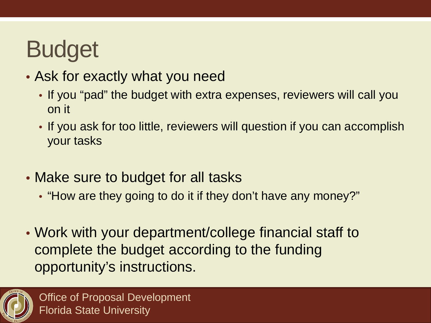## Budget

- Ask for exactly what you need
	- If you "pad" the budget with extra expenses, reviewers will call you on it
	- If you ask for too little, reviewers will question if you can accomplish your tasks
- Make sure to budget for all tasks
	- "How are they going to do it if they don't have any money?"
- Work with your department/college financial staff to complete the budget according to the funding opportunity's instructions.

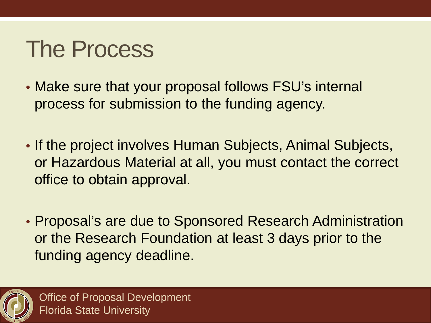### The Process

- Make sure that your proposal follows FSU's internal process for submission to the funding agency.
- If the project involves Human Subjects, Animal Subjects, or Hazardous Material at all, you must contact the correct office to obtain approval.
- Proposal's are due to Sponsored Research Administration or the Research Foundation at least 3 days prior to the funding agency deadline.

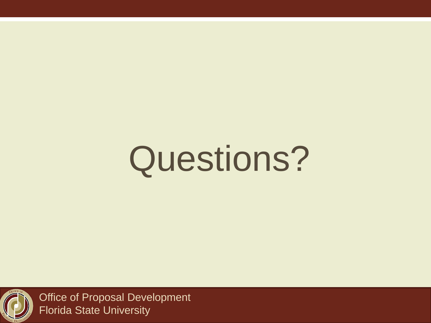# Questions?